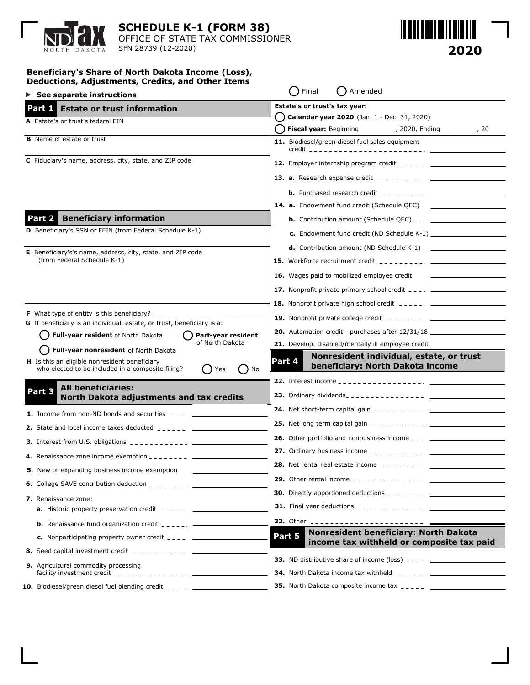

**SCHEDULE K-1 (FORM 38)** OFFICE OF STATE TAX COMMISSIONER

### **Beneficiary's Share of North Dakota Income (Loss), Deductions, Adjustments, Credits, and Other Items**

SFN 28739 (12-2020)

| $\triangleright$ See separate instructions                                                                                                                                                                                                                                                                                             | Final<br>Amended<br>( )                                                                                                                                                                                                                                                                                  |
|----------------------------------------------------------------------------------------------------------------------------------------------------------------------------------------------------------------------------------------------------------------------------------------------------------------------------------------|----------------------------------------------------------------------------------------------------------------------------------------------------------------------------------------------------------------------------------------------------------------------------------------------------------|
| Part 1 Estate or trust information                                                                                                                                                                                                                                                                                                     | Estate's or trust's tax year:                                                                                                                                                                                                                                                                            |
| A Estate's or trust's federal EIN                                                                                                                                                                                                                                                                                                      | Calendar year 2020 (Jan. 1 - Dec. 31, 2020)                                                                                                                                                                                                                                                              |
|                                                                                                                                                                                                                                                                                                                                        | <b>Fiscal year:</b> Beginning __________, 2020, Ending _________, 20____                                                                                                                                                                                                                                 |
| <b>B</b> Name of estate or trust                                                                                                                                                                                                                                                                                                       | 11. Biodiesel/green diesel fuel sales equipment                                                                                                                                                                                                                                                          |
| C Fiduciary's name, address, city, state, and ZIP code                                                                                                                                                                                                                                                                                 | <b>12.</b> Employer internship program credit $\frac{1}{2}$ = $\frac{1}{2}$ = $\frac{1}{2}$ = $\frac{1}{2}$ = $\frac{1}{2}$ = $\frac{1}{2}$ = $\frac{1}{2}$ = $\frac{1}{2}$ = $\frac{1}{2}$ = $\frac{1}{2}$ = $\frac{1}{2}$ = $\frac{1}{2}$ = $\frac{1}{2}$ = $\frac{1}{2}$ = $\frac{1}{2}$ =            |
|                                                                                                                                                                                                                                                                                                                                        |                                                                                                                                                                                                                                                                                                          |
|                                                                                                                                                                                                                                                                                                                                        |                                                                                                                                                                                                                                                                                                          |
|                                                                                                                                                                                                                                                                                                                                        |                                                                                                                                                                                                                                                                                                          |
| <b>Beneficiary information</b><br>Part 2                                                                                                                                                                                                                                                                                               | <b>b.</b> Contribution amount (Schedule QEC) $\frac{1}{2}$ $\frac{1}{2}$ $\frac{1}{2}$ $\frac{1}{2}$ $\frac{1}{2}$ $\frac{1}{2}$ $\frac{1}{2}$ $\frac{1}{2}$ $\frac{1}{2}$ $\frac{1}{2}$ $\frac{1}{2}$ $\frac{1}{2}$ $\frac{1}{2}$ $\frac{1}{2}$ $\frac{1}{2}$ $\frac{1}{2}$ $\frac{1}{2}$ $\frac{1}{2}$ |
| <b>D</b> Beneficiary's SSN or FEIN (from Federal Schedule K-1)                                                                                                                                                                                                                                                                         |                                                                                                                                                                                                                                                                                                          |
| E Beneficiary's's name, address, city, state, and ZIP code                                                                                                                                                                                                                                                                             |                                                                                                                                                                                                                                                                                                          |
| (from Federal Schedule K-1)                                                                                                                                                                                                                                                                                                            |                                                                                                                                                                                                                                                                                                          |
|                                                                                                                                                                                                                                                                                                                                        | <b>16.</b> Wages paid to mobilized employee credit                                                                                                                                                                                                                                                       |
|                                                                                                                                                                                                                                                                                                                                        | <b>17.</b> Nonprofit private primary school credit $---$                                                                                                                                                                                                                                                 |
|                                                                                                                                                                                                                                                                                                                                        | <b>18.</b> Nonprofit private high school credit $-- -- -- -- ---$                                                                                                                                                                                                                                        |
| <b>F</b> What type of entity is this beneficiary? $_{-}$<br>G If beneficiary is an individual, estate, or trust, beneficiary is a:                                                                                                                                                                                                     |                                                                                                                                                                                                                                                                                                          |
| Full-year resident of North Dakota<br>Part-year resident                                                                                                                                                                                                                                                                               | 20. Automation credit - purchases after 12/31/18 _______________________________                                                                                                                                                                                                                         |
| of North Dakota                                                                                                                                                                                                                                                                                                                        | 21. Develop. disabled/mentally ill employee credit                                                                                                                                                                                                                                                       |
| Full-year nonresident of North Dakota<br><b>H</b> Is this an eligible nonresident beneficiary                                                                                                                                                                                                                                          | Nonresident individual, estate, or trust<br>Part 4                                                                                                                                                                                                                                                       |
| who elected to be included in a composite filing?<br>( ) No<br>Yes                                                                                                                                                                                                                                                                     | beneficiary: North Dakota income                                                                                                                                                                                                                                                                         |
| <b>All beneficiaries:</b><br>Part 3                                                                                                                                                                                                                                                                                                    |                                                                                                                                                                                                                                                                                                          |
| North Dakota adjustments and tax credits                                                                                                                                                                                                                                                                                               |                                                                                                                                                                                                                                                                                                          |
| <b>1.</b> Income from non-ND bonds and securities $\frac{1}{2}$ $\frac{1}{2}$                                                                                                                                                                                                                                                          |                                                                                                                                                                                                                                                                                                          |
| <b>2.</b> State and local income taxes deducted $\frac{1}{2}$                                                                                                                                                                                                                                                                          |                                                                                                                                                                                                                                                                                                          |
| <b>3.</b> Interest from U.S. obligations $\frac{1}{2}$                                                                                                                                                                                                                                                                                 |                                                                                                                                                                                                                                                                                                          |
| 4. Renaissance zone income exemption _ _ _ _ _ _ _ _ _ _ _                                                                                                                                                                                                                                                                             |                                                                                                                                                                                                                                                                                                          |
| <b>5.</b> New or expanding business income exemption                                                                                                                                                                                                                                                                                   |                                                                                                                                                                                                                                                                                                          |
| 6. College SAVE contribution deduction ________ ____                                                                                                                                                                                                                                                                                   | <b>29.</b> Other rental income $\frac{1}{2}$ = $\frac{1}{2}$ = $\frac{1}{2}$ = $\frac{1}{2}$ = $\frac{1}{2}$ = $\frac{1}{2}$ = $\frac{1}{2}$                                                                                                                                                             |
| 7. Renaissance zone:                                                                                                                                                                                                                                                                                                                   |                                                                                                                                                                                                                                                                                                          |
| <b>a.</b> Historic property preservation credit $\overline{\phantom{a}}$ _ _ _ _ _ _ _ _ _ _ _ _ _ _                                                                                                                                                                                                                                   |                                                                                                                                                                                                                                                                                                          |
| <b>b.</b> Renaissance fund organization credit $\overline{a}$                                                                                                                                                                                                                                                                          | <b>32.</b> Other <u>______________________</u> ____                                                                                                                                                                                                                                                      |
| <b>c.</b> Nonparticipating property owner credit ____ _ ________                                                                                                                                                                                                                                                                       | <b>Nonresident beneficiary: North Dakota</b><br>Part 5<br>income tax withheld or composite tax paid                                                                                                                                                                                                      |
| <b>8.</b> Seed capital investment credit $-$ - - - - - - - - - - $-$                                                                                                                                                                                                                                                                   |                                                                                                                                                                                                                                                                                                          |
| 9. Agricultural commodity processing<br>facility investment credit $\frac{1}{2}$ = $\frac{1}{2}$ = $\frac{1}{2}$ = $\frac{1}{2}$ = $\frac{1}{2}$ = $\frac{1}{2}$ = $\frac{1}{2}$ = $\frac{1}{2}$ = $\frac{1}{2}$ = $\frac{1}{2}$ = $\frac{1}{2}$ = $\frac{1}{2}$ = $\frac{1}{2}$ = $\frac{1}{2}$ = $\frac{1}{2}$ = $\frac{1}{2}$ = $\$ | 33. ND distributive share of income (loss) $---$ ___ __ __________________________                                                                                                                                                                                                                       |
| 10. Biodiesel/green diesel fuel blending credit _____ _ __________                                                                                                                                                                                                                                                                     |                                                                                                                                                                                                                                                                                                          |
|                                                                                                                                                                                                                                                                                                                                        |                                                                                                                                                                                                                                                                                                          |



**2020**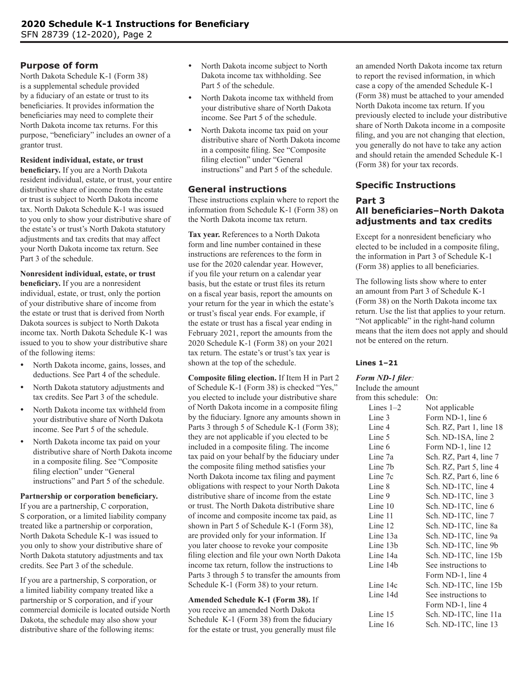# **Purpose of form**

North Dakota Schedule K-1 (Form 38) is a supplemental schedule provided by a fiduciary of an estate or trust to its beneficiaries. It provides information the beneficiaries may need to complete their North Dakota income tax returns. For this purpose, "beneficiary" includes an owner of a grantor trust.

### **Resident individual, estate, or trust**

**beneficiary.** If you are a North Dakota resident individual, estate, or trust, your entire distributive share of income from the estate or trust is subject to North Dakota income tax. North Dakota Schedule K-1 was issued to you only to show your distributive share of the estate's or trust's North Dakota statutory adjustments and tax credits that may affect your North Dakota income tax return. See Part 3 of the schedule.

**Nonresident individual, estate, or trust beneficiary.** If you are a nonresident individual, estate, or trust, only the portion of your distributive share of income from the estate or trust that is derived from North Dakota sources is subject to North Dakota income tax. North Dakota Schedule K-1 was issued to you to show your distributive share of the following items:

- North Dakota income, gains, losses, and deductions. See Part 4 of the schedule.
- North Dakota statutory adjustments and tax credits. See Part 3 of the schedule.
- North Dakota income tax withheld from your distributive share of North Dakota income. See Part 5 of the schedule.
- North Dakota income tax paid on your distributive share of North Dakota income in a composite filing. See "Composite filing election" under "General instructions" and Part 5 of the schedule.

#### **Partnership or corporation beneficiary.**

If you are a partnership, C corporation, S corporation, or a limited liability company treated like a partnership or corporation, North Dakota Schedule K-1 was issued to you only to show your distributive share of North Dakota statutory adjustments and tax credits. See Part 3 of the schedule.

If you are a partnership, S corporation, or a limited liability company treated like a partnership or S corporation, and if your commercial domicile is located outside North Dakota, the schedule may also show your distributive share of the following items:

- North Dakota income subject to North Dakota income tax withholding. See Part 5 of the schedule.
- North Dakota income tax withheld from your distributive share of North Dakota income. See Part 5 of the schedule.
- North Dakota income tax paid on your distributive share of North Dakota income in a composite filing. See "Composite filing election" under "General instructions" and Part 5 of the schedule.

### **General instructions**

These instructions explain where to report the information from Schedule K-1 (Form 38) on the North Dakota income tax return.

**Tax year.** References to a North Dakota form and line number contained in these instructions are references to the form in use for the 2020 calendar year. However, if you file your return on a calendar year basis, but the estate or trust files its return on a fiscal year basis, report the amounts on your return for the year in which the estate's or trust's fiscal year ends. For example, if the estate or trust has a fiscal year ending in February 2021, report the amounts from the 2020 Schedule K-1 (Form 38) on your 2021 tax return. The estate's or trust's tax year is shown at the top of the schedule.

**Composite filing election.** If Item H in Part 2 of Schedule K-1 (Form 38) is checked "Yes," you elected to include your distributive share of North Dakota income in a composite filing by the fiduciary. Ignore any amounts shown in Parts 3 through 5 of Schedule K-1 (Form 38); they are not applicable if you elected to be included in a composite filing. The income tax paid on your behalf by the fiduciary under the composite filing method satisfies your North Dakota income tax filing and payment obligations with respect to your North Dakota distributive share of income from the estate or trust. The North Dakota distributive share of income and composite income tax paid, as shown in Part 5 of Schedule K-1 (Form 38), are provided only for your information. If you later choose to revoke your composite filing election and file your own North Dakota income tax return, follow the instructions to Parts 3 through 5 to transfer the amounts from Schedule K-1 (Form 38) to your return.

**Amended Schedule K-1 (Form 38).** If you receive an amended North Dakota Schedule K-1 (Form 38) from the fiduciary for the estate or trust, you generally must file an amended North Dakota income tax return to report the revised information, in which case a copy of the amended Schedule K-1 (Form 38) must be attached to your amended North Dakota income tax return. If you previously elected to include your distributive share of North Dakota income in a composite filing, and you are not changing that election, you generally do not have to take any action and should retain the amended Schedule K-1 (Form 38) for your tax records.

# **Specific Instructions**

# **Part 3 All beneficiaries–North Dakota adjustments and tax credits**

Except for a nonresident beneficiary who elected to be included in a composite filing, the information in Part 3 of Schedule K-1 (Form 38) applies to all beneficiaries.

The following lists show where to enter an amount from Part 3 of Schedule K-1 (Form 38) on the North Dakota income tax return. Use the list that applies to your return. "Not applicable" in the right-hand column means that the item does not apply and should not be entered on the return.

### **Lines 1–21**

### *Form ND-1 filer:*

| Include the amount  |                          |
|---------------------|--------------------------|
| from this schedule: | On:                      |
| Lines $1-2$         | Not applicable           |
| Line 3              | Form ND-1, line 6        |
| Line 4              | Sch. RZ, Part 1, line 18 |
| Line 5              | Sch. ND-1SA, line 2      |
| Line 6              | Form ND-1, line 12       |
| Line 7a             | Sch. RZ, Part 4, line 7  |
| Line 7b             | Sch. RZ, Part 5, line 4  |
| Line 7c             | Sch. RZ, Part 6, line 6  |
| Line 8              | Sch. ND-1TC, line 4      |
| Line 9              | Sch. ND-1TC, line 3      |
| Line $10$           | Sch. ND-1TC, line 6      |
| Line 11             | Sch. ND-1TC, line 7      |
| Line 12             | Sch. ND-1TC, line 8a     |
| Line 13a            | Sch. ND-1TC, line 9a     |
| Line 13b            | Sch. ND-1TC, line 9b     |
| Line 14a            | Sch. ND-1TC, line 15b    |
| Line 14b            | See instructions to      |
|                     | Form ND-1, line 4        |
| Line 14c            | Sch. ND-1TC, line 15b    |
| Line 14d            | See instructions to      |
|                     | Form ND-1, line 4        |
| Line 15             | Sch. ND-1TC, line 11a    |
| Line 16             | Sch. ND-1TC, line 13     |